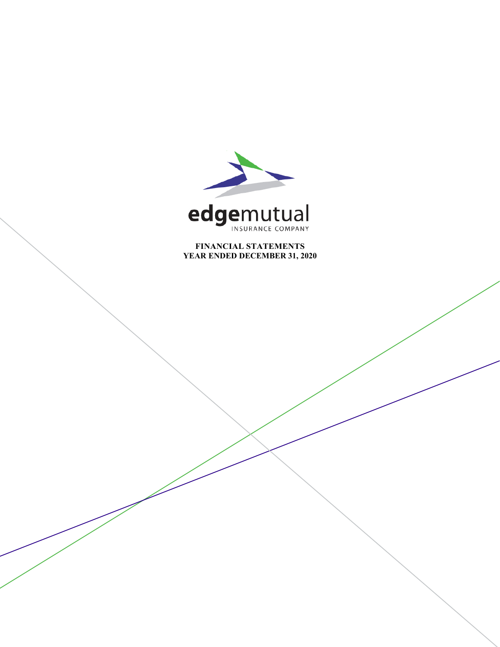

**FINANCIAL STATEMENTS YEAR ENDED DECEMBER 31, 20**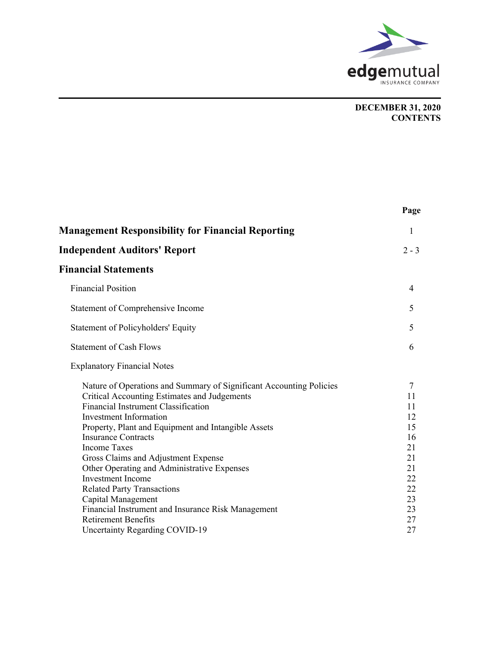

# **DECEMBER 31, 2020 CONTENTS**

|                                                                                  | Page     |
|----------------------------------------------------------------------------------|----------|
| <b>Management Responsibility for Financial Reporting</b>                         | 1        |
| <b>Independent Auditors' Report</b>                                              | $2 - 3$  |
| <b>Financial Statements</b>                                                      |          |
| <b>Financial Position</b>                                                        | 4        |
| Statement of Comprehensive Income                                                | 5        |
| Statement of Policyholders' Equity                                               | 5        |
| <b>Statement of Cash Flows</b>                                                   | 6        |
| <b>Explanatory Financial Notes</b>                                               |          |
| Nature of Operations and Summary of Significant Accounting Policies              | 7        |
| Critical Accounting Estimates and Judgements                                     | 11       |
| Financial Instrument Classification                                              | 11       |
| <b>Investment Information</b>                                                    | 12       |
| Property, Plant and Equipment and Intangible Assets                              | 15       |
| <b>Insurance Contracts</b>                                                       | 16       |
| <b>Income Taxes</b>                                                              | 21       |
| Gross Claims and Adjustment Expense                                              | 21       |
| Other Operating and Administrative Expenses                                      | 21       |
| <b>Investment Income</b>                                                         | 22       |
| <b>Related Party Transactions</b>                                                | 22       |
| Capital Management                                                               | 23       |
| Financial Instrument and Insurance Risk Management<br><b>Retirement Benefits</b> | 23<br>27 |
| <b>Uncertainty Regarding COVID-19</b>                                            | 27       |
|                                                                                  |          |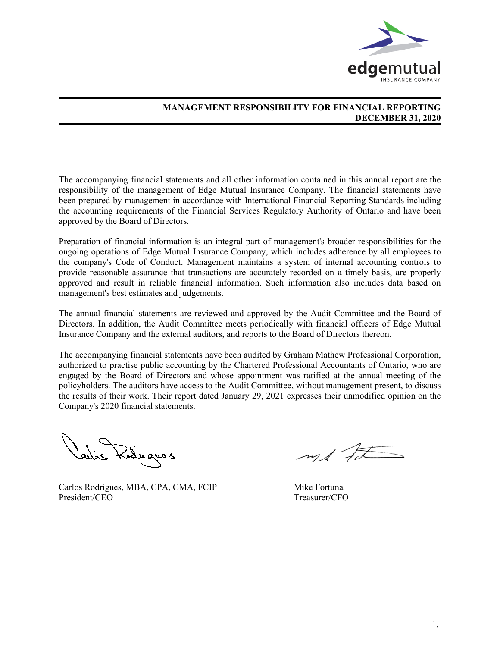

## **MANAGEMENT RESPONSIBILITY FOR FINANCIAL REPORTING DECEMBER 31, 2020**

The accompanying financial statements and all other information contained in this annual report are the responsibility of the management of Edge Mutual Insurance Company. The financial statements have been prepared by management in accordance with International Financial Reporting Standards including the accounting requirements of the Financial Services Regulatory Authority of Ontario and have been approved by the Board of Directors.

Preparation of financial information is an integral part of management's broader responsibilities for the ongoing operations of Edge Mutual Insurance Company, which includes adherence by all employees to the company's Code of Conduct. Management maintains a system of internal accounting controls to provide reasonable assurance that transactions are accurately recorded on a timely basis, are properly approved and result in reliable financial information. Such information also includes data based on management's best estimates and judgements.

The annual financial statements are reviewed and approved by the Audit Committee and the Board of Directors. In addition, the Audit Committee meets periodically with financial officers of Edge Mutual Insurance Company and the external auditors, and reports to the Board of Directors thereon.

The accompanying financial statements have been audited by Graham Mathew Professional Corporation, authorized to practise public accounting by the Chartered Professional Accountants of Ontario, who are engaged by the Board of Directors and whose appointment was ratified at the annual meeting of the policyholders. The auditors have access to the Audit Committee, without management present, to discuss the results of their work. Their report dated January 29, 2021 expresses their unmodified opinion on the Company's 2020 financial statements.

Julie Rodingues

Carlos Rodrigues, MBA, CPA, CMA, FCIP Mike Fortuna President/CEO Treasurer/CFO

ml FI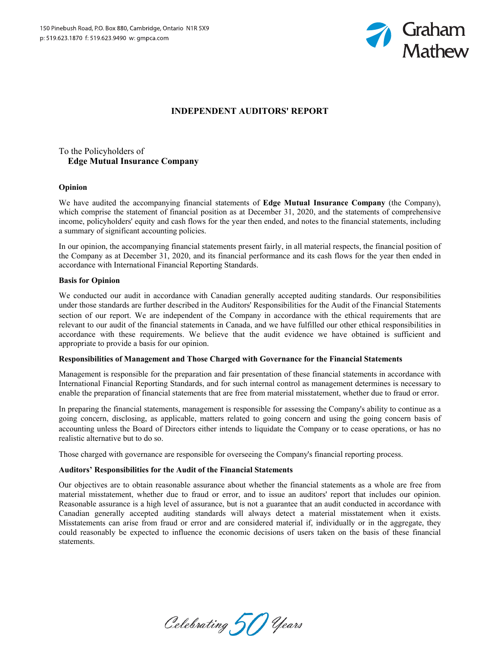

# **INDEPENDENT AUDITORS' REPORT**

# To the Policyholders of **Edge Mutual Insurance Company**

## **Opinion**

We have audited the accompanying financial statements of **Edge Mutual Insurance Company** (the Company), which comprise the statement of financial position as at December 31, 2020, and the statements of comprehensive income, policyholders' equity and cash flows for the year then ended, and notes to the financial statements, including a summary of significant accounting policies.

In our opinion, the accompanying financial statements present fairly, in all material respects, the financial position of the Company as at December 31, 2020, and its financial performance and its cash flows for the year then ended in accordance with International Financial Reporting Standards.

### **Basis for Opinion**

We conducted our audit in accordance with Canadian generally accepted auditing standards. Our responsibilities under those standards are further described in the Auditors' Responsibilities for the Audit of the Financial Statements section of our report. We are independent of the Company in accordance with the ethical requirements that are relevant to our audit of the financial statements in Canada, and we have fulfilled our other ethical responsibilities in accordance with these requirements. We believe that the audit evidence we have obtained is sufficient and appropriate to provide a basis for our opinion.

### **Responsibilities of Management and Those Charged with Governance for the Financial Statements**

Management is responsible for the preparation and fair presentation of these financial statements in accordance with International Financial Reporting Standards, and for such internal control as management determines is necessary to enable the preparation of financial statements that are free from material misstatement, whether due to fraud or error.

In preparing the financial statements, management is responsible for assessing the Company's ability to continue as a going concern, disclosing, as applicable, matters related to going concern and using the going concern basis of accounting unless the Board of Directors either intends to liquidate the Company or to cease operations, or has no realistic alternative but to do so.

Those charged with governance are responsible for overseeing the Company's financial reporting process.

## **Auditors' Responsibilities for the Audit of the Financial Statements**

Our objectives are to obtain reasonable assurance about whether the financial statements as a whole are free from material misstatement, whether due to fraud or error, and to issue an auditors' report that includes our opinion. Reasonable assurance is a high level of assurance, but is not a guarantee that an audit conducted in accordance with Canadian generally accepted auditing standards will always detect a material misstatement when it exists. Misstatements can arise from fraud or error and are considered material if, individually or in the aggregate, they could reasonably be expected to influence the economic decisions of users taken on the basis of these financial statements.

Celebrating 50 Years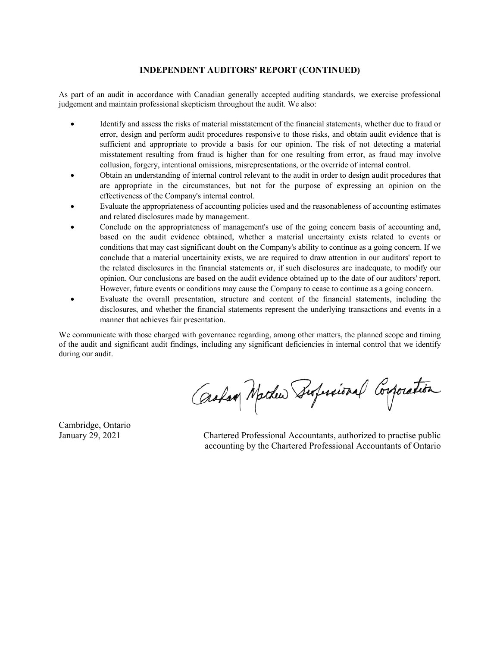## **INDEPENDENT AUDITORS' REPORT (CONTINUED)**

As part of an audit in accordance with Canadian generally accepted auditing standards, we exercise professional judgement and maintain professional skepticism throughout the audit. We also:

- Identify and assess the risks of material misstatement of the financial statements, whether due to fraud or error, design and perform audit procedures responsive to those risks, and obtain audit evidence that is sufficient and appropriate to provide a basis for our opinion. The risk of not detecting a material misstatement resulting from fraud is higher than for one resulting from error, as fraud may involve collusion, forgery, intentional omissions, misrepresentations, or the override of internal control.
- Obtain an understanding of internal control relevant to the audit in order to design audit procedures that are appropriate in the circumstances, but not for the purpose of expressing an opinion on the effectiveness of the Company's internal control.
- Evaluate the appropriateness of accounting policies used and the reasonableness of accounting estimates and related disclosures made by management.
- Conclude on the appropriateness of management's use of the going concern basis of accounting and, based on the audit evidence obtained, whether a material uncertainty exists related to events or conditions that may cast significant doubt on the Company's ability to continue as a going concern. If we conclude that a material uncertainity exists, we are required to draw attention in our auditors' report to the related disclosures in the financial statements or, if such disclosures are inadequate, to modify our opinion. Our conclusions are based on the audit evidence obtained up to the date of our auditors' report. However, future events or conditions may cause the Company to cease to continue as a going concern.
- Evaluate the overall presentation, structure and content of the financial statements, including the disclosures, and whether the financial statements represent the underlying transactions and events in a manner that achieves fair presentation.

We communicate with those charged with governance regarding, among other matters, the planned scope and timing of the audit and significant audit findings, including any significant deficiencies in internal control that we identify during our audit.

Casham Nather Berfessional Corporation

Cambridge, Ontario

January 29, 2021 Chartered Professional Accountants, authorized to practise public accounting by the Chartered Professional Accountants of Ontario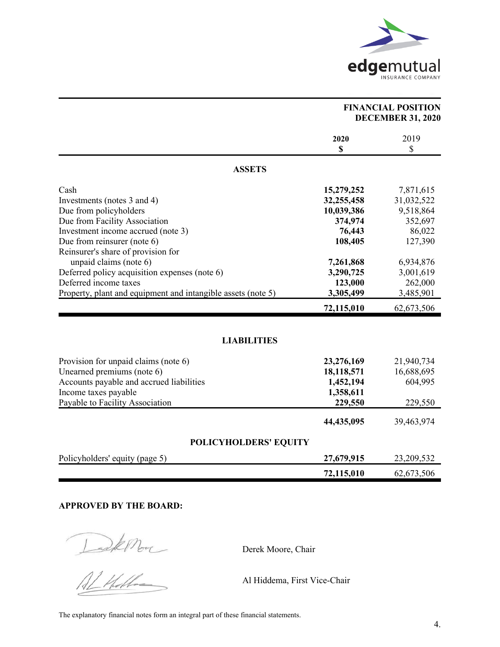

# **FINANCIAL POSITION DECEMBER 31, 2020**

|                                                                                                                                                                                                        | 2020<br>\$                                                    | 2019<br>\$                                     |
|--------------------------------------------------------------------------------------------------------------------------------------------------------------------------------------------------------|---------------------------------------------------------------|------------------------------------------------|
| <b>ASSETS</b>                                                                                                                                                                                          |                                                               |                                                |
| Cash<br>Investments (notes 3 and 4)<br>Due from policyholders                                                                                                                                          | 15,279,252<br>32,255,458<br>10,039,386                        | 7,871,615<br>31,032,522<br>9,518,864           |
| Due from Facility Association<br>Investment income accrued (note 3)<br>Due from reinsurer (note 6)                                                                                                     | 374,974<br>76,443<br>108,405                                  | 352,697<br>86,022<br>127,390                   |
| Reinsurer's share of provision for<br>unpaid claims (note 6)<br>Deferred policy acquisition expenses (note 6)<br>Deferred income taxes<br>Property, plant and equipment and intangible assets (note 5) | 7,261,868<br>3,290,725<br>123,000<br>3,305,499                | 6,934,876<br>3,001,619<br>262,000<br>3,485,901 |
|                                                                                                                                                                                                        | 72,115,010                                                    | 62, 673, 506                                   |
| <b>LIABILITIES</b>                                                                                                                                                                                     |                                                               |                                                |
| Provision for unpaid claims (note 6)<br>Unearned premiums (note 6)<br>Accounts payable and accrued liabilities<br>Income taxes payable<br>Payable to Facility Association                              | 23,276,169<br>18,118,571<br>1,452,194<br>1,358,611<br>229,550 | 21,940,734<br>16,688,695<br>604,995<br>229,550 |
|                                                                                                                                                                                                        | 44,435,095                                                    | 39,463,974                                     |
| POLICYHOLDERS' EQUITY                                                                                                                                                                                  |                                                               |                                                |
| Policyholders' equity (page 5)                                                                                                                                                                         | 27,679,915                                                    | 23,209,532                                     |
|                                                                                                                                                                                                        | 72,115,010                                                    | 62,673,506                                     |

# **APPROVED BY THE BOARD:**

Dakenon

Derek Moore, Chair

Al Hiddema, First Vice-Chair

The explanatory financial notes form an integral part of these financial statements.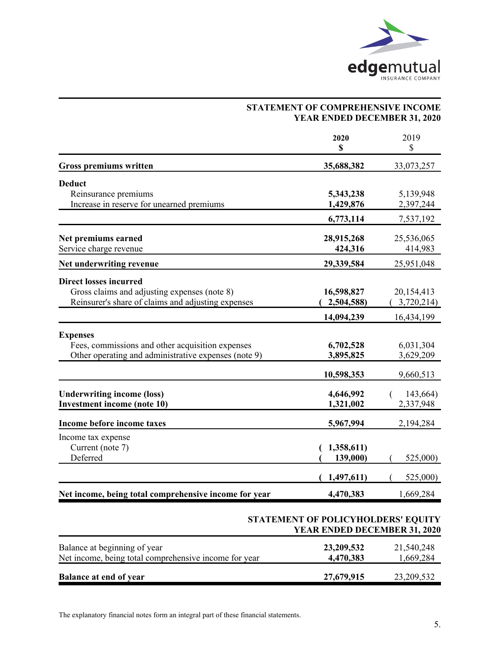

# **STATEMENT OF COMPREHENSIVE INCOME YEAR ENDED DECEMBER 31, 2020**

|                                                       | 2020        | 2019         |
|-------------------------------------------------------|-------------|--------------|
|                                                       | \$          | S            |
| <b>Gross premiums written</b>                         | 35,688,382  | 33,073,257   |
| <b>Deduct</b>                                         |             |              |
| Reinsurance premiums                                  | 5,343,238   | 5,139,948    |
| Increase in reserve for unearned premiums             | 1,429,876   | 2,397,244    |
|                                                       | 6,773,114   | 7,537,192    |
| Net premiums earned                                   | 28,915,268  | 25,536,065   |
| Service charge revenue                                | 424,316     | 414,983      |
| Net underwriting revenue                              | 29,339,584  | 25,951,048   |
| <b>Direct losses incurred</b>                         |             |              |
| Gross claims and adjusting expenses (note 8)          | 16,598,827  | 20, 154, 413 |
| Reinsurer's share of claims and adjusting expenses    | 2,504,588)  | 3,720,214)   |
|                                                       | 14,094,239  | 16,434,199   |
| <b>Expenses</b>                                       |             |              |
| Fees, commissions and other acquisition expenses      | 6,702,528   | 6,031,304    |
| Other operating and administrative expenses (note 9)  | 3,895,825   | 3,629,209    |
|                                                       | 10,598,353  | 9,660,513    |
| <b>Underwriting income (loss)</b>                     | 4,646,992   | 143,664)     |
| <b>Investment income (note 10)</b>                    | 1,321,002   | 2,337,948    |
| Income before income taxes                            | 5,967,994   | 2,194,284    |
|                                                       |             |              |
| Income tax expense<br>Current (note 7)                | 1,358,611)  |              |
| Deferred                                              | 139,000)    | 525,000)     |
|                                                       |             |              |
|                                                       | (1,497,611) | 525,000)     |
| Net income, being total comprehensive income for year | 4,470,383   | 1,669,284    |

# **STATEMENT OF POLICYHOLDERS' EQUITY YEAR ENDED DECEMBER 31, 2020**

| Balance at beginning of year                          | 23,209,532 | 21,540,248   |
|-------------------------------------------------------|------------|--------------|
| Net income, being total comprehensive income for year | 4,470,383  | 1,669,284    |
| <b>Balance at end of year</b>                         | 27,679,915 | 23, 209, 532 |

The explanatory financial notes form an integral part of these financial statements.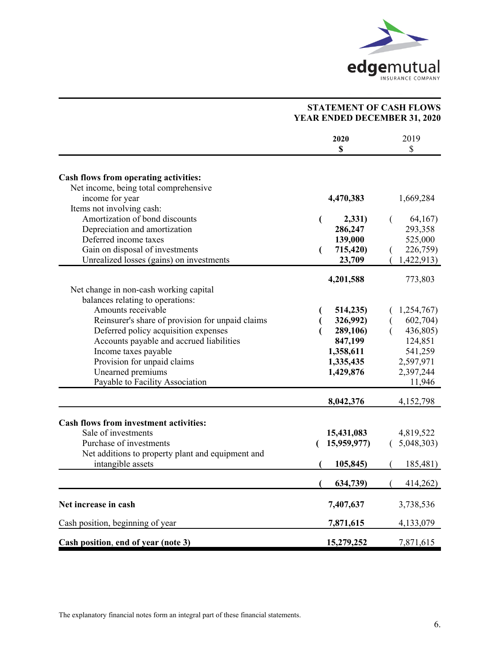

# **STATEMENT OF CASH FLOWS YEAR ENDED DECEMBER 31, 2020**

|                                                                                |   | 2020<br>\$  | 2019<br>\$  |
|--------------------------------------------------------------------------------|---|-------------|-------------|
| Cash flows from operating activities:<br>Net income, being total comprehensive |   |             |             |
| income for year                                                                |   | 4,470,383   | 1,669,284   |
| Items not involving cash:                                                      |   |             |             |
| Amortization of bond discounts                                                 | € | 2,331)      | 64,167      |
| Depreciation and amortization                                                  |   | 286,247     | 293,358     |
| Deferred income taxes                                                          |   | 139,000     | 525,000     |
| Gain on disposal of investments                                                |   | 715,420)    | 226,759)    |
| Unrealized losses (gains) on investments                                       |   | 23,709      | 1,422,913)  |
|                                                                                |   | 4,201,588   | 773,803     |
| Net change in non-cash working capital<br>balances relating to operations:     |   |             |             |
| Amounts receivable                                                             |   | 514,235)    | 1,254,767)  |
| Reinsurer's share of provision for unpaid claims                               |   | 326,992)    | 602,704)    |
| Deferred policy acquisition expenses                                           |   | 289,106)    | 436,805)    |
| Accounts payable and accrued liabilities                                       |   | 847,199     | 124,851     |
| Income taxes payable                                                           |   | 1,358,611   | 541,259     |
| Provision for unpaid claims                                                    |   | 1,335,435   | 2,597,971   |
| Unearned premiums                                                              |   | 1,429,876   | 2,397,244   |
| Payable to Facility Association                                                |   |             | 11,946      |
|                                                                                |   | 8,042,376   | 4,152,798   |
| <b>Cash flows from investment activities:</b>                                  |   |             |             |
| Sale of investments                                                            |   | 15,431,083  | 4,819,522   |
| Purchase of investments                                                        |   | 15,959,977) | (5,048,303) |
| Net additions to property plant and equipment and                              |   |             |             |
| intangible assets                                                              |   | 105,845)    | 185,481)    |
|                                                                                |   | 634,739)    | 414,262)    |
|                                                                                |   |             |             |
| Net increase in cash                                                           |   | 7,407,637   | 3,738,536   |
| Cash position, beginning of year                                               |   | 7,871,615   | 4,133,079   |
| Cash position, end of year (note 3)                                            |   | 15,279,252  | 7,871,615   |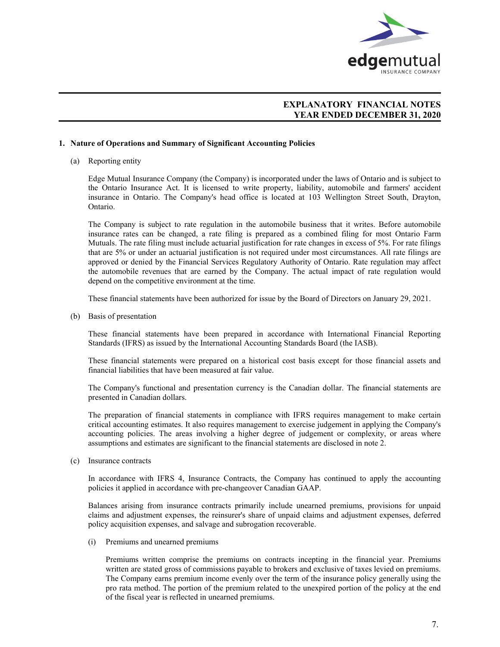

## **1. Nature of Operations and Summary of Significant Accounting Policies**

(a) Reporting entity

Edge Mutual Insurance Company (the Company) is incorporated under the laws of Ontario and is subject to the Ontario Insurance Act. It is licensed to write property, liability, automobile and farmers' accident insurance in Ontario. The Company's head office is located at 103 Wellington Street South, Drayton, Ontario.

The Company is subject to rate regulation in the automobile business that it writes. Before automobile insurance rates can be changed, a rate filing is prepared as a combined filing for most Ontario Farm Mutuals. The rate filing must include actuarial justification for rate changes in excess of 5%. For rate filings that are 5% or under an actuarial justification is not required under most circumstances. All rate filings are approved or denied by the Financial Services Regulatory Authority of Ontario. Rate regulation may affect the automobile revenues that are earned by the Company. The actual impact of rate regulation would depend on the competitive environment at the time.

These financial statements have been authorized for issue by the Board of Directors on January 29, 2021.

(b) Basis of presentation

These financial statements have been prepared in accordance with International Financial Reporting Standards (IFRS) as issued by the International Accounting Standards Board (the IASB).

These financial statements were prepared on a historical cost basis except for those financial assets and financial liabilities that have been measured at fair value.

The Company's functional and presentation currency is the Canadian dollar. The financial statements are presented in Canadian dollars.

The preparation of financial statements in compliance with IFRS requires management to make certain critical accounting estimates. It also requires management to exercise judgement in applying the Company's accounting policies. The areas involving a higher degree of judgement or complexity, or areas where assumptions and estimates are significant to the financial statements are disclosed in note 2.

(c) Insurance contracts

In accordance with IFRS 4, Insurance Contracts, the Company has continued to apply the accounting policies it applied in accordance with pre-changeover Canadian GAAP.

Balances arising from insurance contracts primarily include unearned premiums, provisions for unpaid claims and adjustment expenses, the reinsurer's share of unpaid claims and adjustment expenses, deferred policy acquisition expenses, and salvage and subrogation recoverable.

(i) Premiums and unearned premiums

Premiums written comprise the premiums on contracts incepting in the financial year. Premiums written are stated gross of commissions payable to brokers and exclusive of taxes levied on premiums. The Company earns premium income evenly over the term of the insurance policy generally using the pro rata method. The portion of the premium related to the unexpired portion of the policy at the end of the fiscal year is reflected in unearned premiums.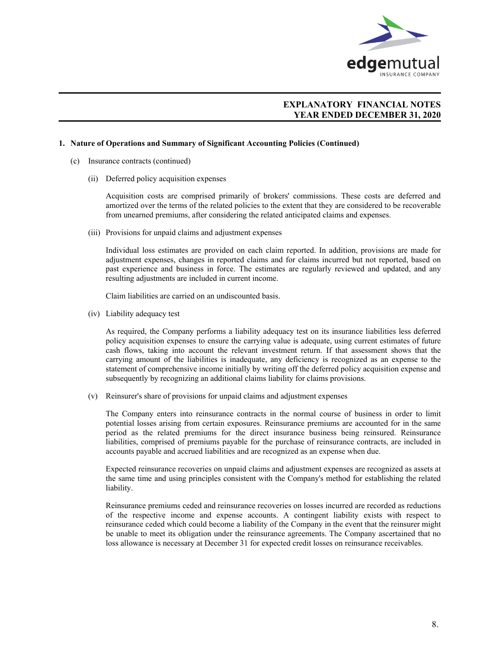

## **1. Nature of Operations and Summary of Significant Accounting Policies (Continued)**

- (c) Insurance contracts (continued)
	- (ii) Deferred policy acquisition expenses

Acquisition costs are comprised primarily of brokers' commissions. These costs are deferred and amortized over the terms of the related policies to the extent that they are considered to be recoverable from unearned premiums, after considering the related anticipated claims and expenses.

(iii) Provisions for unpaid claims and adjustment expenses

Individual loss estimates are provided on each claim reported. In addition, provisions are made for adjustment expenses, changes in reported claims and for claims incurred but not reported, based on past experience and business in force. The estimates are regularly reviewed and updated, and any resulting adjustments are included in current income.

Claim liabilities are carried on an undiscounted basis.

(iv) Liability adequacy test

As required, the Company performs a liability adequacy test on its insurance liabilities less deferred policy acquisition expenses to ensure the carrying value is adequate, using current estimates of future cash flows, taking into account the relevant investment return. If that assessment shows that the carrying amount of the liabilities is inadequate, any deficiency is recognized as an expense to the statement of comprehensive income initially by writing off the deferred policy acquisition expense and subsequently by recognizing an additional claims liability for claims provisions.

(v) Reinsurer's share of provisions for unpaid claims and adjustment expenses

The Company enters into reinsurance contracts in the normal course of business in order to limit potential losses arising from certain exposures. Reinsurance premiums are accounted for in the same period as the related premiums for the direct insurance business being reinsured. Reinsurance liabilities, comprised of premiums payable for the purchase of reinsurance contracts, are included in accounts payable and accrued liabilities and are recognized as an expense when due.

Expected reinsurance recoveries on unpaid claims and adjustment expenses are recognized as assets at the same time and using principles consistent with the Company's method for establishing the related liability.

Reinsurance premiums ceded and reinsurance recoveries on losses incurred are recorded as reductions of the respective income and expense accounts. A contingent liability exists with respect to reinsurance ceded which could become a liability of the Company in the event that the reinsurer might be unable to meet its obligation under the reinsurance agreements. The Company ascertained that no loss allowance is necessary at December 31 for expected credit losses on reinsurance receivables.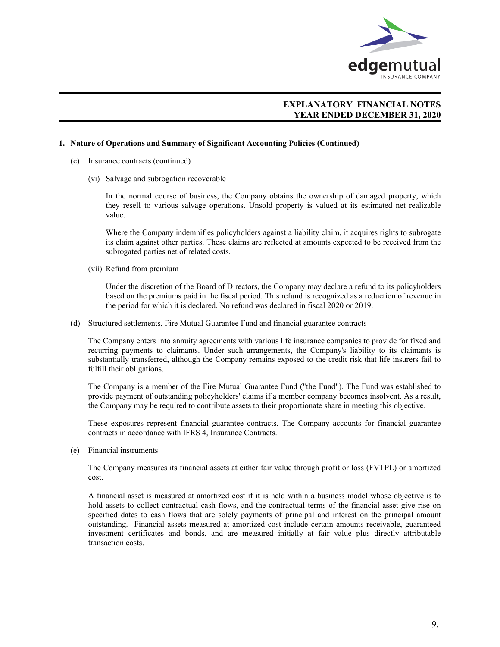

## **1. Nature of Operations and Summary of Significant Accounting Policies (Continued)**

- (c) Insurance contracts (continued)
	- (vi) Salvage and subrogation recoverable

In the normal course of business, the Company obtains the ownership of damaged property, which they resell to various salvage operations. Unsold property is valued at its estimated net realizable value.

Where the Company indemnifies policyholders against a liability claim, it acquires rights to subrogate its claim against other parties. These claims are reflected at amounts expected to be received from the subrogated parties net of related costs.

(vii) Refund from premium

Under the discretion of the Board of Directors, the Company may declare a refund to its policyholders based on the premiums paid in the fiscal period. This refund is recognized as a reduction of revenue in the period for which it is declared. No refund was declared in fiscal 2020 or 2019.

(d) Structured settlements, Fire Mutual Guarantee Fund and financial guarantee contracts

The Company enters into annuity agreements with various life insurance companies to provide for fixed and recurring payments to claimants. Under such arrangements, the Company's liability to its claimants is substantially transferred, although the Company remains exposed to the credit risk that life insurers fail to fulfill their obligations.

The Company is a member of the Fire Mutual Guarantee Fund ("the Fund"). The Fund was established to provide payment of outstanding policyholders' claims if a member company becomes insolvent. As a result, the Company may be required to contribute assets to their proportionate share in meeting this objective.

These exposures represent financial guarantee contracts. The Company accounts for financial guarantee contracts in accordance with IFRS 4, Insurance Contracts.

(e) Financial instruments

The Company measures its financial assets at either fair value through profit or loss (FVTPL) or amortized cost.

A financial asset is measured at amortized cost if it is held within a business model whose objective is to hold assets to collect contractual cash flows, and the contractual terms of the financial asset give rise on specified dates to cash flows that are solely payments of principal and interest on the principal amount outstanding. Financial assets measured at amortized cost include certain amounts receivable, guaranteed investment certificates and bonds, and are measured initially at fair value plus directly attributable transaction costs.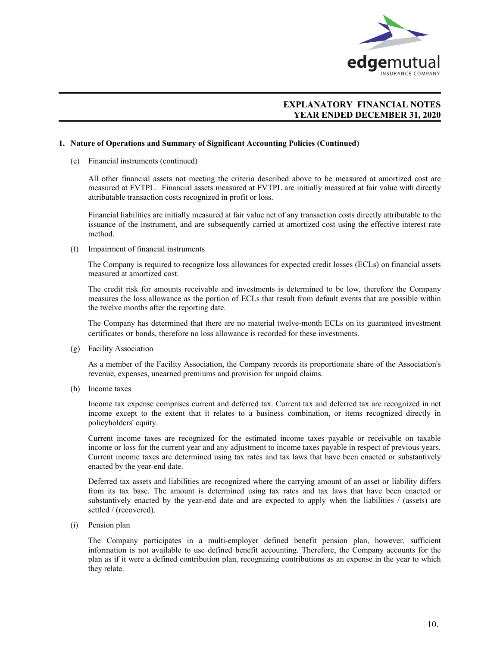

### **1. Nature of Operations and Summary of Significant Accounting Policies (Continued)**

(e) Financial instruments (continued)

All other financial assets not meeting the criteria described above to be measured at amortized cost are measured at FVTPL. Financial assets measured at FVTPL are initially measured at fair value with directly attributable transaction costs recognized in profit or loss.

Financial liabilities are initially measured at fair value net of any transaction costs directly attributable to the issuance of the instrument, and are subsequently carried at amortized cost using the effective interest rate method.

(f) Impairment of financial instruments

The Company is required to recognize loss allowances for expected credit losses (ECLs) on financial assets measured at amortized cost.

The credit risk for amounts receivable and investments is determined to be low, therefore the Company measures the loss allowance as the portion of ECLs that result from default events that are possible within the twelve months after the reporting date.

The Company has determined that there are no material twelve-month ECLs on its guaranteed investment certificates or bonds, therefore no loss allowance is recorded for these investments.

(g) Facility Association

As a member of the Facility Association, the Company records its proportionate share of the Association's revenue, expenses, unearned premiums and provision for unpaid claims.

(h) Income taxes

Income tax expense comprises current and deferred tax. Current tax and deferred tax are recognized in net income except to the extent that it relates to a business combination, or items recognized directly in policyholders' equity.

Current income taxes are recognized for the estimated income taxes payable or receivable on taxable income or loss for the current year and any adjustment to income taxes payable in respect of previous years. Current income taxes are determined using tax rates and tax laws that have been enacted or substantively enacted by the year-end date.

Deferred tax assets and liabilities are recognized where the carrying amount of an asset or liability differs from its tax base. The amount is determined using tax rates and tax laws that have been enacted or substantively enacted by the year-end date and are expected to apply when the liabilities / (assets) are settled / (recovered).

(i) Pension plan

The Company participates in a multi-employer defined benefit pension plan, however, sufficient information is not available to use defined benefit accounting. Therefore, the Company accounts for the plan as if it were a defined contribution plan, recognizing contributions as an expense in the year to which they relate.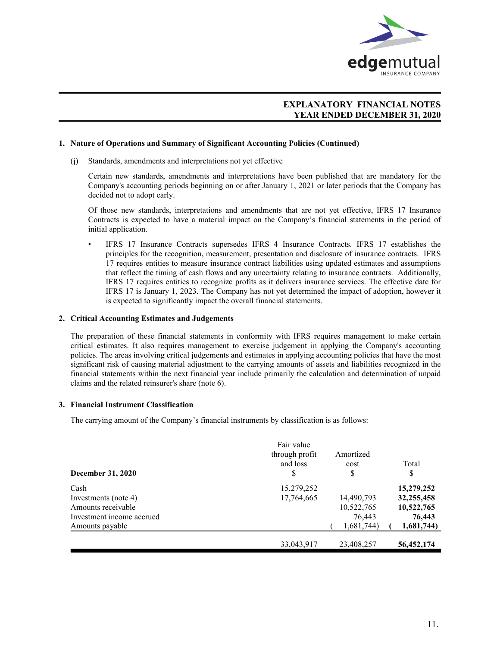

## **1. Nature of Operations and Summary of Significant Accounting Policies (Continued)**

(j) Standards, amendments and interpretations not yet effective

Certain new standards, amendments and interpretations have been published that are mandatory for the Company's accounting periods beginning on or after January 1, 2021 or later periods that the Company has decided not to adopt early.

Of those new standards, interpretations and amendments that are not yet effective, IFRS 17 Insurance Contracts is expected to have a material impact on the Company's financial statements in the period of initial application.

• IFRS 17 Insurance Contracts supersedes IFRS 4 Insurance Contracts. IFRS 17 establishes the principles for the recognition, measurement, presentation and disclosure of insurance contracts. IFRS 17 requires entities to measure insurance contract liabilities using updated estimates and assumptions that reflect the timing of cash flows and any uncertainty relating to insurance contracts. Additionally, IFRS 17 requires entities to recognize profits as it delivers insurance services. The effective date for IFRS 17 is January 1, 2023. The Company has not yet determined the impact of adoption, however it is expected to significantly impact the overall financial statements.

### **2. Critical Accounting Estimates and Judgements**

The preparation of these financial statements in conformity with IFRS requires management to make certain critical estimates. It also requires management to exercise judgement in applying the Company's accounting policies. The areas involving critical judgements and estimates in applying accounting policies that have the most significant risk of causing material adjustment to the carrying amounts of assets and liabilities recognized in the financial statements within the next financial year include primarily the calculation and determination of unpaid claims and the related reinsurer's share (note 6).

### **3. Financial Instrument Classification**

The carrying amount of the Company's financial instruments by classification is as follows:

| <b>December 31, 2020</b>  | Fair value<br>through profit<br>and loss<br>\$ | Amortized<br>cost<br>\$ | Total<br>S |
|---------------------------|------------------------------------------------|-------------------------|------------|
| Cash                      | 15,279,252                                     |                         | 15,279,252 |
| Investments (note 4)      | 17,764,665                                     | 14,490,793              | 32,255,458 |
| Amounts receivable        |                                                | 10,522,765              | 10,522,765 |
| Investment income accrued |                                                | 76,443                  | 76,443     |
| Amounts payable           |                                                | 1,681,744)              | 1,681,744) |
|                           | 33,043,917                                     | 23,408,257              | 56,452,174 |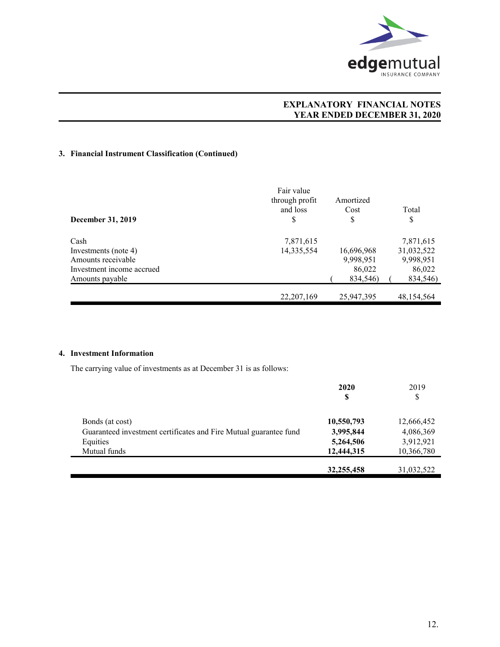

# **3. Financial Instrument Classification (Continued)**

| December 31, 2019         | Fair value<br>through profit<br>and loss<br>\$ | Amortized<br>Cost<br>\$ | Total<br>\$ |
|---------------------------|------------------------------------------------|-------------------------|-------------|
| Cash                      | 7,871,615                                      |                         | 7,871,615   |
| Investments (note 4)      | 14,335,554                                     | 16,696,968              | 31,032,522  |
| Amounts receivable        |                                                | 9,998,951               | 9,998,951   |
| Investment income accrued |                                                | 86,022                  | 86,022      |
| Amounts payable           |                                                | 834,546)                | 834,546)    |
|                           |                                                |                         |             |
|                           | 22, 207, 169                                   | 25,947,395              | 48,154,564  |

### **4. Investment Information**

The carrying value of investments as at December 31 is as follows:

|                                                                   | 2020<br>S    | 2019<br>\$ |
|-------------------------------------------------------------------|--------------|------------|
| Bonds (at cost)                                                   | 10,550,793   | 12,666,452 |
| Guaranteed investment certificates and Fire Mutual guarantee fund | 3,995,844    | 4,086,369  |
| Equities                                                          | 5,264,506    | 3,912,921  |
| Mutual funds                                                      | 12,444,315   | 10,366,780 |
|                                                                   | 32, 255, 458 | 31,032,522 |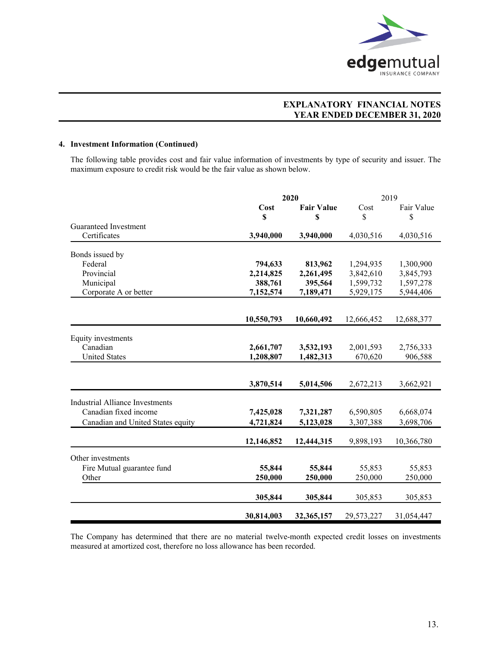

## **4. Investment Information (Continued)**

The following table provides cost and fair value information of investments by type of security and issuer. The maximum exposure to credit risk would be the fair value as shown below.

|                                        | 2020       |                   |            | 2019       |  |
|----------------------------------------|------------|-------------------|------------|------------|--|
|                                        | Cost       | <b>Fair Value</b> | Cost       | Fair Value |  |
|                                        | \$         | \$                | \$         | \$         |  |
| Guaranteed Investment                  |            |                   |            |            |  |
| Certificates                           | 3,940,000  | 3,940,000         | 4,030,516  | 4,030,516  |  |
|                                        |            |                   |            |            |  |
| Bonds issued by<br>Federal             |            |                   |            |            |  |
| Provincial                             | 794,633    | 813,962           | 1,294,935  | 1,300,900  |  |
|                                        | 2,214,825  | 2,261,495         | 3,842,610  | 3,845,793  |  |
| Municipal                              | 388,761    | 395,564           | 1,599,732  | 1,597,278  |  |
| Corporate A or better                  | 7,152,574  | 7,189,471         | 5,929,175  | 5,944,406  |  |
|                                        |            |                   |            |            |  |
|                                        | 10,550,793 | 10,660,492        | 12,666,452 | 12,688,377 |  |
| Equity investments                     |            |                   |            |            |  |
| Canadian                               | 2,661,707  | 3,532,193         | 2,001,593  | 2,756,333  |  |
| <b>United States</b>                   | 1,208,807  | 1,482,313         | 670,620    | 906,588    |  |
|                                        |            |                   |            |            |  |
|                                        |            |                   |            |            |  |
|                                        | 3,870,514  | 5,014,506         | 2,672,213  | 3,662,921  |  |
| <b>Industrial Alliance Investments</b> |            |                   |            |            |  |
| Canadian fixed income                  | 7,425,028  | 7,321,287         | 6,590,805  | 6,668,074  |  |
| Canadian and United States equity      | 4,721,824  | 5,123,028         | 3,307,388  | 3,698,706  |  |
|                                        |            |                   |            |            |  |
|                                        | 12,146,852 | 12,444,315        | 9,898,193  | 10,366,780 |  |
| Other investments                      |            |                   |            |            |  |
| Fire Mutual guarantee fund             | 55,844     | 55,844            | 55,853     | 55,853     |  |
| Other                                  | 250,000    | 250,000           | 250,000    | 250,000    |  |
|                                        |            |                   |            |            |  |
|                                        | 305,844    | 305,844           | 305,853    | 305,853    |  |
|                                        | 30,814,003 | 32,365,157        | 29,573,227 | 31,054,447 |  |

The Company has determined that there are no material twelve-month expected credit losses on investments measured at amortized cost, therefore no loss allowance has been recorded.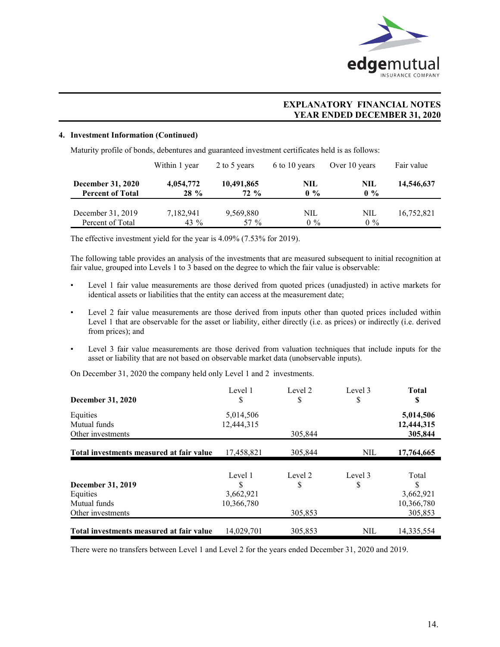

## **4. Investment Information (Continued)**

Maturity profile of bonds, debentures and guaranteed investment certificates held is as follows:

|                          | Within 1 year | 2 to 5 years | 6 to 10 years | Over 10 years | Fair value |
|--------------------------|---------------|--------------|---------------|---------------|------------|
| <b>December 31, 2020</b> | 4,054,772     | 10,491,865   | NIL           | NIL           | 14,546,637 |
| <b>Percent of Total</b>  | $28\%$        | $72\%$       | $0\%$         | $0\%$         |            |
| December 31, 2019        | 7,182,941     | 9,569,880    | NIL           | NIL           | 16,752,821 |
| Percent of Total         | 43 %          | 57 $\%$      | $0\%$         | $0\%$         |            |

The effective investment yield for the year is 4.09% (7.53% for 2019).

The following table provides an analysis of the investments that are measured subsequent to initial recognition at fair value, grouped into Levels 1 to 3 based on the degree to which the fair value is observable:

- Level 1 fair value measurements are those derived from quoted prices (unadjusted) in active markets for identical assets or liabilities that the entity can access at the measurement date;
- Level 2 fair value measurements are those derived from inputs other than quoted prices included within Level 1 that are observable for the asset or liability, either directly (i.e. as prices) or indirectly (i.e. derived from prices); and
- Level 3 fair value measurements are those derived from valuation techniques that include inputs for the asset or liability that are not based on observable market data (unobservable inputs).

On December 31, 2020 the company held only Level 1 and 2 investments.

| December 31, 2020                        | Level 1<br>S | Level 2<br>S | Level 3<br>S | <b>Total</b><br>S     |
|------------------------------------------|--------------|--------------|--------------|-----------------------|
| Equities                                 | 5,014,506    |              |              | 5,014,506             |
| Mutual funds<br>Other investments        | 12,444,315   | 305,844      |              | 12,444,315<br>305,844 |
| Total investments measured at fair value | 17,458,821   | 305,844      | NIL          | 17,764,665            |
|                                          | Level 1      | Level 2      | Level 3      | Total                 |
| December 31, 2019                        | \$           | \$           | \$           |                       |
| Equities                                 | 3,662,921    |              |              | 3,662,921             |
| Mutual funds                             | 10,366,780   |              |              | 10,366,780            |
| Other investments                        |              | 305,853      |              | 305,853               |
| Total investments measured at fair value | 14,029,701   | 305,853      | NIL          | 14,335,554            |

There were no transfers between Level 1 and Level 2 for the years ended December 31, 2020 and 2019.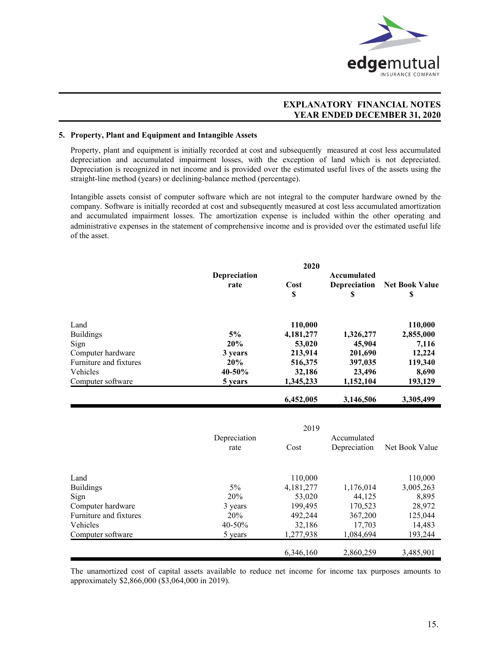

## **5. Property, Plant and Equipment and Intangible Assets**

Property, plant and equipment is initially recorded at cost and subsequently measured at cost less accumulated depreciation and accumulated impairment losses, with the exception of land which is not depreciated. Depreciation is recognized in net income and is provided over the estimated useful lives of the assets using the straight-line method (years) or declining-balance method (percentage).

Intangible assets consist of computer software which are not integral to the computer hardware owned by the company. Software is initially recorded at cost and subsequently measured at cost less accumulated amortization and accumulated impairment losses. The amortization expense is included within the other operating and administrative expenses in the statement of comprehensive income and is provided over the estimated useful life of the asset.

|                        |              | 2020       |                    |                             |
|------------------------|--------------|------------|--------------------|-----------------------------|
|                        | Depreciation |            | Accumulated        |                             |
|                        | rate         | Cost<br>\$ | Depreciation<br>\$ | <b>Net Book Value</b><br>\$ |
| Land                   |              | 110,000    |                    | 110,000                     |
| <b>Buildings</b>       | 5%           | 4,181,277  | 1,326,277          | 2,855,000                   |
| Sign                   | 20%          | 53,020     | 45,904             | 7,116                       |
| Computer hardware      | 3 years      | 213,914    | 201,690            | 12,224                      |
| Furniture and fixtures | 20%          | 516,375    | 397,035            | 119,340                     |
| Vehicles               | 40-50%       | 32,186     | 23,496             | 8,690                       |
| Computer software      | 5 years      | 1,345,233  | 1,152,104          | 193,129                     |
|                        |              | 6,452,005  | 3,146,506          | 3,305,499                   |
|                        |              | 2019       |                    |                             |
|                        | Depreciation |            | Accumulated        |                             |
|                        | rate         | Cost       | Depreciation       | Net Book Value              |
| Land                   |              | 110,000    |                    | 110,000                     |
| <b>Buildings</b>       | 5%           | 4,181,277  | 1,176,014          | 3,005,263                   |
| Sign                   | 20%          | 53,020     | 44,125             | 8,895                       |
| Computer hardware      | 3 years      | 199,495    | 170,523            | 28,972                      |
| Furniture and fixtures | 20%          | 492,244    | 367,200            | 125,044                     |

The unamortized cost of capital assets available to reduce net income for income tax purposes amounts to approximately \$2,866,000 (\$3,064,000 in 2019).

Vehicles 17,703 14,483 Computer software 5 years 1,277,938 1,084,694 193,244

6,346,160 2,860,259 3,485,901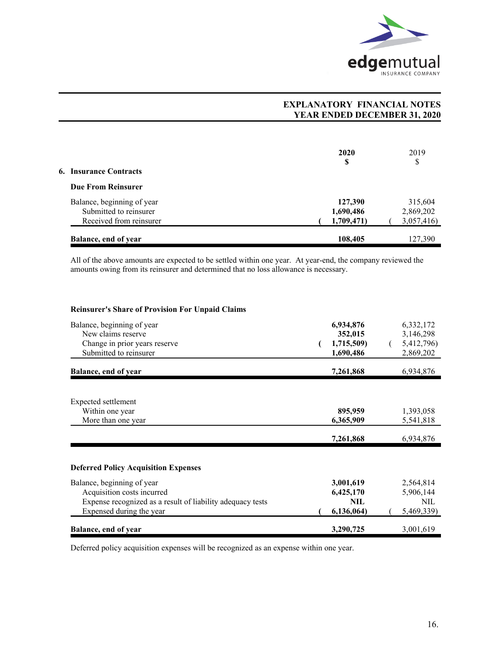

| 6. Insurance Contracts     | 2020<br>S  | 2019<br>\$ |
|----------------------------|------------|------------|
| <b>Due From Reinsurer</b>  |            |            |
| Balance, beginning of year | 127,390    | 315,604    |
| Submitted to reinsurer     | 1,690,486  | 2,869,202  |
| Received from reinsurer    | 1,709,471) | 3,057,416) |
| Balance, end of year       | 108,405    | 127,390    |

All of the above amounts are expected to be settled within one year. At year-end, the company reviewed the amounts owing from its reinsurer and determined that no loss allowance is necessary.

## **Reinsurer's Share of Provision For Unpaid Claims**

| Balance, beginning of year<br>New claims reserve<br>Change in prior years reserve<br>Submitted to reinsurer                                        | 6,934,876<br>352,015<br>1,715,509)<br>1,690,486 | 6,332,172<br>3,146,298<br>5,412,796)<br>2,869,202  |
|----------------------------------------------------------------------------------------------------------------------------------------------------|-------------------------------------------------|----------------------------------------------------|
| Balance, end of year                                                                                                                               | 7,261,868                                       | 6,934,876                                          |
| Expected settlement<br>Within one year<br>More than one year                                                                                       | 895,959<br>6,365,909                            | 1,393,058<br>5,541,818                             |
|                                                                                                                                                    | 7,261,868                                       | 6,934,876                                          |
| <b>Deferred Policy Acquisition Expenses</b>                                                                                                        |                                                 |                                                    |
| Balance, beginning of year<br>Acquisition costs incurred<br>Expense recognized as a result of liability adequacy tests<br>Expensed during the year | 3,001,619<br>6,425,170<br>NIL<br>6,136,064)     | 2,564,814<br>5,906,144<br><b>NIL</b><br>5,469,339) |
| Balance, end of year                                                                                                                               | 3,290,725                                       | 3,001,619                                          |

Deferred policy acquisition expenses will be recognized as an expense within one year.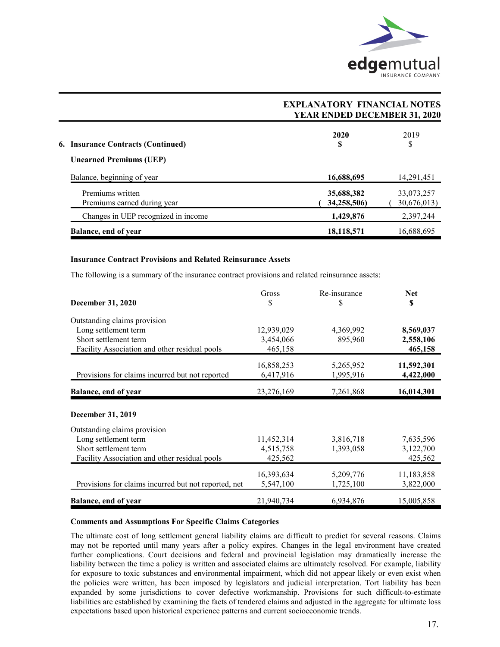

# **EXPLANATORY FINANCIAL NOTES YEAR ENDED DECEMBER 31, 2020 2020** 2019 **6. Insurance Contracts (Continued) \$** \$ **Unearned Premiums (UEP)** Balance, beginning of year **16,688,695** 14,291,451 Premiums written **35,688,382** 33,073,257 Premiums earned during year **( 34,258,506)** ( 30,676,013) Changes in UEP recognized in income **1,429,876** 2,397,244 **Balance, end of year 18,118,571** 16,688,695

## **Insurance Contract Provisions and Related Reinsurance Assets**

The following is a summary of the insurance contract provisions and related reinsurance assets:

| <b>December 31, 2020</b>                             | Gross<br>\$ | Re-insurance<br>\$ | <b>Net</b><br>S |
|------------------------------------------------------|-------------|--------------------|-----------------|
| Outstanding claims provision                         |             |                    |                 |
| Long settlement term                                 | 12,939,029  | 4,369,992          | 8,569,037       |
| Short settlement term                                | 3,454,066   | 895,960            | 2,558,106       |
| Facility Association and other residual pools        | 465,158     |                    | 465,158         |
|                                                      | 16,858,253  | 5,265,952          | 11,592,301      |
| Provisions for claims incurred but not reported      | 6,417,916   | 1,995,916          | 4,422,000       |
| Balance, end of year                                 | 23,276,169  | 7,261,868          | 16,014,301      |
| <b>December 31, 2019</b>                             |             |                    |                 |
| Outstanding claims provision                         |             |                    |                 |
| Long settlement term                                 | 11,452,314  | 3,816,718          | 7,635,596       |
| Short settlement term                                | 4,515,758   | 1,393,058          | 3,122,700       |
| Facility Association and other residual pools        | 425,562     |                    | 425,562         |
|                                                      | 16,393,634  | 5,209,776          | 11,183,858      |
| Provisions for claims incurred but not reported, net | 5,547,100   | 1,725,100          | 3,822,000       |
| Balance, end of year                                 | 21,940,734  | 6,934,876          | 15,005,858      |

## **Comments and Assumptions For Specific Claims Categories**

The ultimate cost of long settlement general liability claims are difficult to predict for several reasons. Claims may not be reported until many years after a policy expires. Changes in the legal environment have created further complications. Court decisions and federal and provincial legislation may dramatically increase the liability between the time a policy is written and associated claims are ultimately resolved. For example, liability for exposure to toxic substances and environmental impairment, which did not appear likely or even exist when the policies were written, has been imposed by legislators and judicial interpretation. Tort liability has been expanded by some jurisdictions to cover defective workmanship. Provisions for such difficult-to-estimate liabilities are established by examining the facts of tendered claims and adjusted in the aggregate for ultimate loss expectations based upon historical experience patterns and current socioeconomic trends.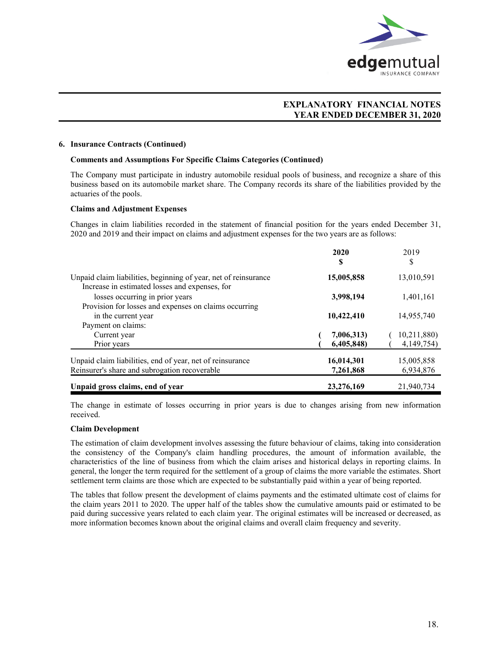

### **6. Insurance Contracts (Continued)**

## **Comments and Assumptions For Specific Claims Categories (Continued)**

The Company must participate in industry automobile residual pools of business, and recognize a share of this business based on its automobile market share. The Company records its share of the liabilities provided by the actuaries of the pools.

## **Claims and Adjustment Expenses**

Changes in claim liabilities recorded in the statement of financial position for the years ended December 31, 2020 and 2019 and their impact on claims and adjustment expenses for the two years are as follows:

|                                                                                                                   | 2020<br>S                | 2019<br>S                |
|-------------------------------------------------------------------------------------------------------------------|--------------------------|--------------------------|
| Unpaid claim liabilities, beginning of year, net of reinsurance<br>Increase in estimated losses and expenses, for | 15,005,858               | 13,010,591               |
| losses occurring in prior years<br>Provision for losses and expenses on claims occurring                          | 3,998,194                | 1,401,161                |
| in the current year<br>Payment on claims:                                                                         | 10,422,410               | 14,955,740               |
| Current year<br>Prior years                                                                                       | 7,006,313)<br>6,405,848) | 10,211,880<br>4,149,754) |
| Unpaid claim liabilities, end of year, net of reinsurance<br>Reinsurer's share and subrogation recoverable        | 16,014,301<br>7,261,868  | 15,005,858<br>6,934,876  |
| Unpaid gross claims, end of year                                                                                  | 23,276,169               | 21,940,734               |

The change in estimate of losses occurring in prior years is due to changes arising from new information received.

### **Claim Development**

The estimation of claim development involves assessing the future behaviour of claims, taking into consideration the consistency of the Company's claim handling procedures, the amount of information available, the characteristics of the line of business from which the claim arises and historical delays in reporting claims. In general, the longer the term required for the settlement of a group of claims the more variable the estimates. Short settlement term claims are those which are expected to be substantially paid within a year of being reported.

The tables that follow present the development of claims payments and the estimated ultimate cost of claims for the claim years 2011 to 2020. The upper half of the tables show the cumulative amounts paid or estimated to be paid during successive years related to each claim year. The original estimates will be increased or decreased, as more information becomes known about the original claims and overall claim frequency and severity.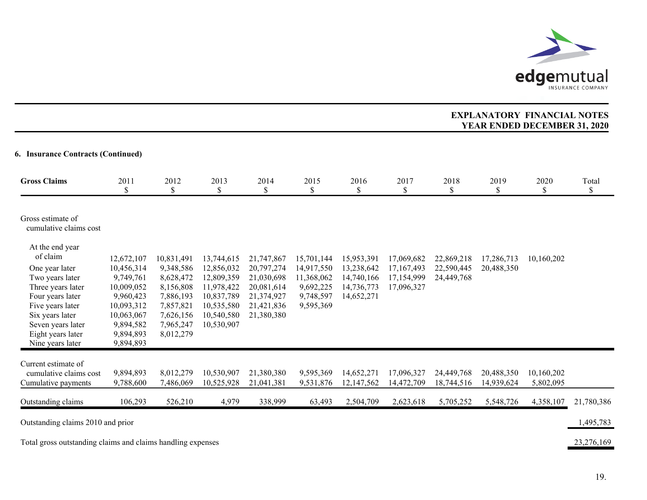

# **6. Insurance Contracts (Continued) Gross Claims** 2011 2012 2013 2014 2015 2016 2017 2018 2019 2020 Total  $\begin{array}{cccccccccccccccccccccc} \mathbb{S} & \mathbb{S} & \mathbb{S} & \mathbb{S} & \mathbb{S} & \mathbb{S} & \mathbb{S} & \mathbb{S} & \mathbb{S} & \mathbb{S} & \mathbb{S} & \mathbb{S} & \mathbb{S} & \mathbb{S} & \mathbb{S} & \mathbb{S} & \mathbb{S} & \mathbb{S} & \mathbb{S} & \mathbb{S} & \mathbb{S} & \mathbb{S} & \mathbb{S} & \mathbb{S} & \mathbb{S} & \mathbb{S} & \mathbb{S} & \mathbb{S} & \mathbb{S} & \mathbb{S$ Gross estimate of cumulative claims cost At the end year of claim 12,672,107 10,831,491 13,744,615 21,747,867 15,701,144 15,953,391 17,069,682 22,869,218 17,286,713 10,160,202 One year later 10,456,314 9,348,586 12,856,032 20,797,274 14,917,550 13,238,642 17,167,493 22,590,445 20,488,350 Two years later 9,749,761 8,628,472 12,809,359 21,030,698 11,368,062 14,740,166 17,154,999 24,449,768 Three years later 10,009,052 8,156,808 11,978,422 20,081,614 9,692,225 14,736,773 17,096,327 Four years later 9,960,423 7,886,193 10,837,789 21,374,927 9,748,597 14,652,271 Five years later 10,093,312 7,857,821 10,535,580 21,421,836 9,595,369 Six years later 10,063,067 7,626,156 10,540,580 21,380,380 Seven years later 9,894,582 7,965,247 10,530,907 Eight years later 9,894,893 8,012,279 Nine years later 9,894,893 Current estimate of cumulative claims cost 9,894,893 8,012,279 10,530,907 21,380,380 9,595,369 14,652,271 17,096,327 24,449,768 20,488,350 10,160,202 Cumulative payments 9,788,600 7,486,069 10,525,928 21,041,381 9,531,876 12,147,562 14,472,709 18,744,516 14,939,624 5,802,095 Outstanding claims 106,293 526,210 4,979 338,999 63,493 2,504,709 2,623,618 5,705,252 5,548,726 4,358,107 21,780,386 Outstanding claims 2010 and prior 1,495,783

Total gross outstanding claims and claims handling expenses 23,276,169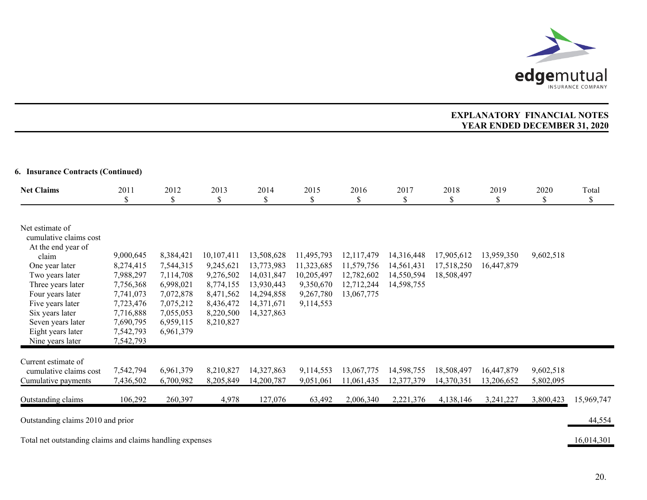

| <b>Net Claims</b>      | 2011<br>\$ | 2012<br>\$ | 2013<br>\$ | 2014<br>\$ | 2015<br>\$ | 2016<br>\$ | 2017<br>\$ | 2018<br>\$ | 2019<br>\$ | 2020<br>\$ | Total<br>\$ |
|------------------------|------------|------------|------------|------------|------------|------------|------------|------------|------------|------------|-------------|
|                        |            |            |            |            |            |            |            |            |            |            |             |
| Net estimate of        |            |            |            |            |            |            |            |            |            |            |             |
| cumulative claims cost |            |            |            |            |            |            |            |            |            |            |             |
| At the end year of     |            |            |            |            |            |            |            |            |            |            |             |
| claim                  | 9,000,645  | 8,384,421  | 10,107,411 | 13,508,628 | 11,495,793 | 12,117,479 | 14,316,448 | 17,905,612 | 13,959,350 | 9,602,518  |             |
| One year later         | 8,274,415  | 7,544,315  | 9,245,621  | 13,773,983 | 11,323,685 | 11,579,756 | 14,561,431 | 17,518,250 | 16,447,879 |            |             |
| Two years later        | 7,988,297  | 7,114,708  | 9,276,502  | 14,031,847 | 10,205,497 | 12,782,602 | 14,550,594 | 18,508,497 |            |            |             |
| Three years later      | 7,756,368  | 6,998,021  | 8,774,155  | 13,930,443 | 9,350,670  | 12,712,244 | 14,598,755 |            |            |            |             |
| Four years later       | 7,741,073  | 7,072,878  | 8,471,562  | 14,294,858 | 9,267,780  | 13,067,775 |            |            |            |            |             |
| Five years later       | 7,723,476  | 7,075,212  | 8,436,472  | 14,371,671 | 9,114,553  |            |            |            |            |            |             |
| Six years later        | 7,716,888  | 7,055,053  | 8,220,500  | 14,327,863 |            |            |            |            |            |            |             |
| Seven years later      | 7,690,795  | 6,959,115  | 8,210,827  |            |            |            |            |            |            |            |             |
| Eight years later      | 7,542,793  | 6,961,379  |            |            |            |            |            |            |            |            |             |
| Nine years later       | 7,542,793  |            |            |            |            |            |            |            |            |            |             |
| Current estimate of    |            |            |            |            |            |            |            |            |            |            |             |
| cumulative claims cost | 7,542,794  | 6,961,379  | 8,210,827  | 14,327,863 | 9,114,553  | 13,067,775 | 14,598,755 | 18,508,497 | 16,447,879 | 9,602,518  |             |
| Cumulative payments    | 7,436,502  | 6,700,982  | 8,205,849  | 14,200,787 | 9,051,061  | 11,061,435 | 12,377,379 | 14,370,351 | 13,206,652 | 5,802,095  |             |
| Outstanding claims     | 106,292    | 260,397    | 4,978      | 127,076    | 63,492     | 2,006,340  | 2,221,376  | 4,138,146  | 3,241,227  | 3,800,423  | 15,969,747  |
|                        |            |            |            |            |            |            |            |            |            |            |             |

Total net outstanding claims and claims handling expenses 16,014,301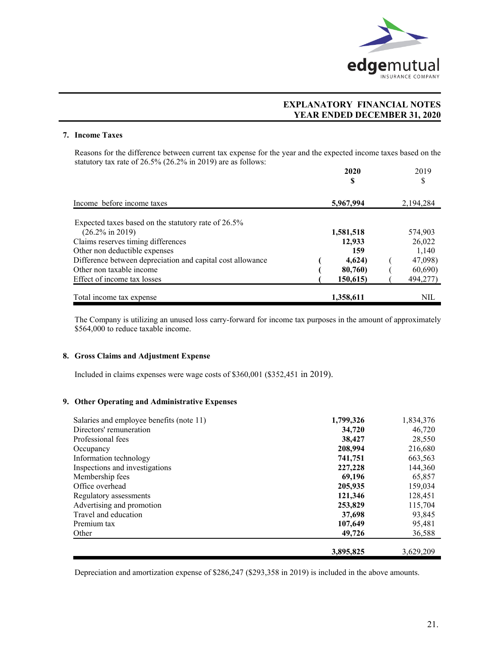

## **7. Income Taxes**

Reasons for the difference between current tax expense for the year and the expected income taxes based on the statutory tax rate of 26.5% (26.2% in 2019) are as follows:

|                                                            | 2020<br>\$ | 2019      |
|------------------------------------------------------------|------------|-----------|
| Income before income taxes                                 | 5,967,994  | 2,194,284 |
| Expected taxes based on the statutory rate of 26.5%        |            |           |
| $(26.2\% \text{ in } 2019)$                                | 1,581,518  | 574,903   |
| Claims reserves timing differences                         | 12.933     | 26,022    |
| Other non deductible expenses                              | 159        | 1,140     |
| Difference between depreciation and capital cost allowance | 4,624)     | 47,098)   |
| Other non taxable income                                   | 80,760)    | 60,690)   |
| Effect of income tax losses                                | 150,615)   | 494,277)  |
| Total income tax expense                                   | 1,358,611  | NIL       |

The Company is utilizing an unused loss carry-forward for income tax purposes in the amount of approximately \$564,000 to reduce taxable income.

### **8. Gross Claims and Adjustment Expense**

Included in claims expenses were wage costs of \$360,001 (\$352,451 in 2019).

## **9. Other Operating and Administrative Expenses**

| Salaries and employee benefits (note 11) | 1,799,326 | 1,834,376 |
|------------------------------------------|-----------|-----------|
| Directors' remuneration                  | 34,720    | 46,720    |
| Professional fees                        | 38,427    | 28,550    |
| Occupancy                                | 208,994   | 216,680   |
| Information technology                   | 741,751   | 663,563   |
| Inspections and investigations           | 227,228   | 144,360   |
| Membership fees                          | 69.196    | 65,857    |
| Office overhead                          | 205,935   | 159,034   |
| Regulatory assessments                   | 121,346   | 128,451   |
| Advertising and promotion                | 253,829   | 115,704   |
| Travel and education                     | 37,698    | 93,845    |
| Premium tax                              | 107,649   | 95,481    |
| Other                                    | 49,726    | 36,588    |
|                                          | 3,895,825 | 3.629.209 |

Depreciation and amortization expense of \$286,247 (\$293,358 in 2019) is included in the above amounts.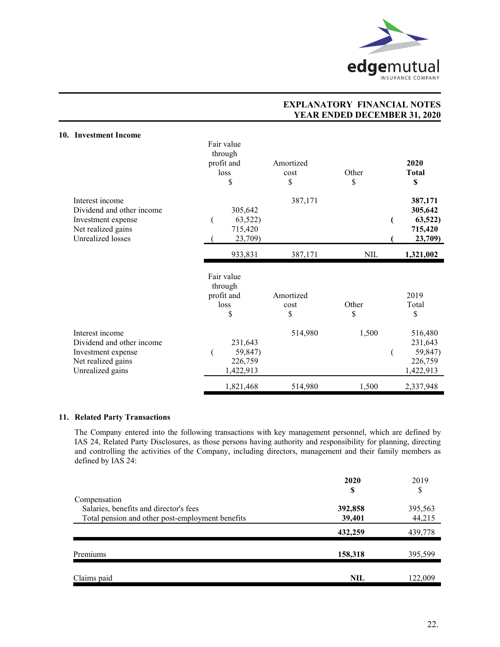

| 10. Investment Income     |            |           |            |              |
|---------------------------|------------|-----------|------------|--------------|
|                           | Fair value |           |            |              |
|                           | through    | Amortized |            | 2020         |
|                           | profit and |           |            |              |
|                           | loss       | cost      | Other      | <b>Total</b> |
|                           | \$         | \$        | \$         | \$           |
| Interest income           |            | 387,171   |            | 387,171      |
| Dividend and other income | 305,642    |           |            | 305,642      |
| Investment expense        | 63,522)    |           |            | 63,522)      |
| Net realized gains        | 715,420    |           |            | 715,420      |
| <b>Unrealized</b> losses  | 23,709)    |           |            | 23,709)      |
|                           | 933,831    | 387,171   | <b>NIL</b> | 1,321,002    |
|                           |            |           |            |              |
|                           | Fair value |           |            |              |
|                           | through    |           |            |              |
|                           | profit and | Amortized |            | 2019         |
|                           | loss       | cost      | Other      | Total        |
|                           | \$         | \$        | \$         | \$           |
| Interest income           |            | 514,980   | 1,500      | 516,480      |
| Dividend and other income | 231,643    |           |            | 231,643      |
| Investment expense        | 59,847)    |           |            | 59,847)      |
| Net realized gains        | 226,759    |           |            | 226,759      |
| Unrealized gains          | 1,422,913  |           |            | 1,422,913    |
|                           | 1,821,468  | 514,980   | 1,500      | 2,337,948    |

## **11. Related Party Transactions**

The Company entered into the following transactions with key management personnel, which are defined by IAS 24, Related Party Disclosures, as those persons having authority and responsibility for planning, directing and controlling the activities of the Company, including directors, management and their family members as defined by IAS 24:

|                                                  | 2020<br>\$ | 2019<br>\$ |
|--------------------------------------------------|------------|------------|
| Compensation                                     |            |            |
| Salaries, benefits and director's fees           | 392,858    | 395,563    |
| Total pension and other post-employment benefits | 39,401     | 44,215     |
|                                                  | 432,259    | 439,778    |
| Premiums                                         | 158,318    | 395,599    |
|                                                  |            |            |
| Claims paid                                      | NIL        | 122,009    |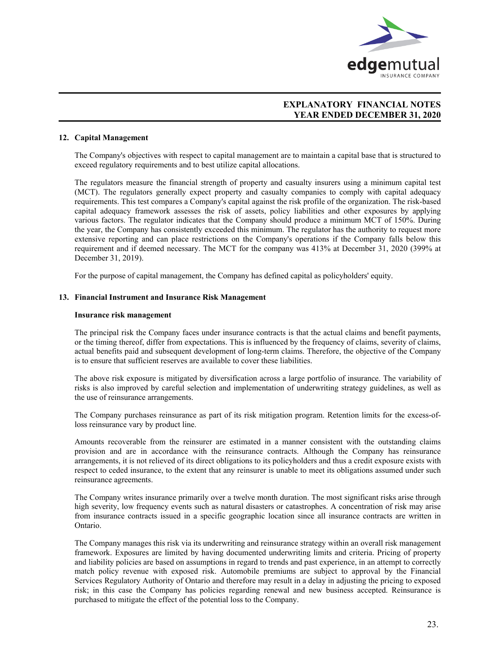

## **12. Capital Management**

The Company's objectives with respect to capital management are to maintain a capital base that is structured to exceed regulatory requirements and to best utilize capital allocations.

The regulators measure the financial strength of property and casualty insurers using a minimum capital test (MCT). The regulators generally expect property and casualty companies to comply with capital adequacy requirements. This test compares a Company's capital against the risk profile of the organization. The risk-based capital adequacy framework assesses the risk of assets, policy liabilities and other exposures by applying various factors. The regulator indicates that the Company should produce a minimum MCT of 150%. During the year, the Company has consistently exceeded this minimum. The regulator has the authority to request more extensive reporting and can place restrictions on the Company's operations if the Company falls below this requirement and if deemed necessary. The MCT for the company was 413% at December 31, 2020 (399% at December 31, 2019).

For the purpose of capital management, the Company has defined capital as policyholders' equity.

### **13. Financial Instrument and Insurance Risk Management**

#### **Insurance risk management**

The principal risk the Company faces under insurance contracts is that the actual claims and benefit payments, or the timing thereof, differ from expectations. This is influenced by the frequency of claims, severity of claims, actual benefits paid and subsequent development of long-term claims. Therefore, the objective of the Company is to ensure that sufficient reserves are available to cover these liabilities.

The above risk exposure is mitigated by diversification across a large portfolio of insurance. The variability of risks is also improved by careful selection and implementation of underwriting strategy guidelines, as well as the use of reinsurance arrangements.

The Company purchases reinsurance as part of its risk mitigation program. Retention limits for the excess-ofloss reinsurance vary by product line.

Amounts recoverable from the reinsurer are estimated in a manner consistent with the outstanding claims provision and are in accordance with the reinsurance contracts. Although the Company has reinsurance arrangements, it is not relieved of its direct obligations to its policyholders and thus a credit exposure exists with respect to ceded insurance, to the extent that any reinsurer is unable to meet its obligations assumed under such reinsurance agreements.

The Company writes insurance primarily over a twelve month duration. The most significant risks arise through high severity, low frequency events such as natural disasters or catastrophes. A concentration of risk may arise from insurance contracts issued in a specific geographic location since all insurance contracts are written in Ontario.

The Company manages this risk via its underwriting and reinsurance strategy within an overall risk management framework. Exposures are limited by having documented underwriting limits and criteria. Pricing of property and liability policies are based on assumptions in regard to trends and past experience, in an attempt to correctly match policy revenue with exposed risk. Automobile premiums are subject to approval by the Financial Services Regulatory Authority of Ontario and therefore may result in a delay in adjusting the pricing to exposed risk; in this case the Company has policies regarding renewal and new business accepted. Reinsurance is purchased to mitigate the effect of the potential loss to the Company.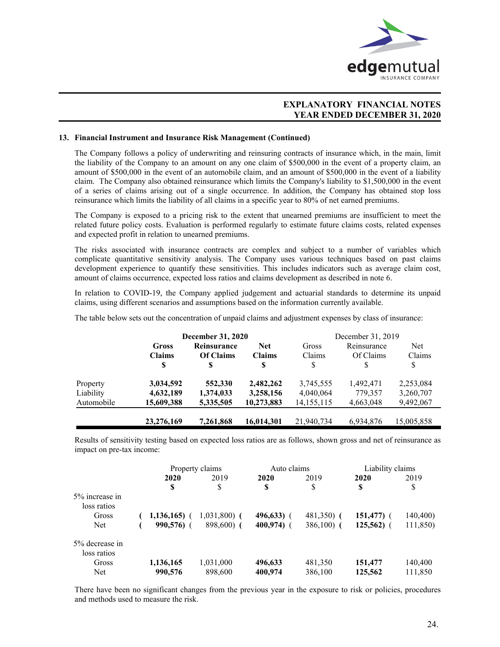

## **13. Financial Instrument and Insurance Risk Management (Continued)**

The Company follows a policy of underwriting and reinsuring contracts of insurance which, in the main, limit the liability of the Company to an amount on any one claim of \$500,000 in the event of a property claim, an amount of \$500,000 in the event of an automobile claim, and an amount of \$500,000 in the event of a liability claim. The Company also obtained reinsurance which limits the Company's liability to \$1,500,000 in the event of a series of claims arising out of a single occurrence. In addition, the Company has obtained stop loss reinsurance which limits the liability of all claims in a specific year to 80% of net earned premiums.

The Company is exposed to a pricing risk to the extent that unearned premiums are insufficient to meet the related future policy costs. Evaluation is performed regularly to estimate future claims costs, related expenses and expected profit in relation to unearned premiums.

The risks associated with insurance contracts are complex and subject to a number of variables which complicate quantitative sensitivity analysis. The Company uses various techniques based on past claims development experience to quantify these sensitivities. This includes indicators such as average claim cost, amount of claims occurrence, expected loss ratios and claims development as described in note 6.

In relation to COVID-19, the Company applied judgement and actuarial standards to determine its unpaid claims, using different scenarios and assumptions based on the information currently available.

The table below sets out the concentration of unpaid claims and adjustment expenses by class of insurance:

|            |                                   | <b>December 31, 2020</b> |               | December 31, 2019 |             |            |  |
|------------|-----------------------------------|--------------------------|---------------|-------------------|-------------|------------|--|
|            | Gross                             | Reinsurance              | <b>Net</b>    | <b>Gross</b>      | Reinsurance | <b>Net</b> |  |
|            | <b>Claims</b><br><b>Of Claims</b> |                          | <b>Claims</b> | Claims            | Of Claims   | Claims     |  |
|            | S                                 | S                        | S             | S                 |             | S          |  |
| Property   | 3,034,592                         | 552,330                  | 2,482,262     | 3,745,555         | 1,492,471   | 2,253,084  |  |
| Liability  | 4,632,189                         | 1,374,033                | 3,258,156     | 4,040,064         | 779,357     | 3,260,707  |  |
| Automobile | 15,609,388                        | 5,335,505                | 10,273,883    | 14, 155, 115      | 4,663,048   | 9,492,067  |  |
|            | 23,276,169                        | 7,261,868                | 16,014,301    | 21,940,734        | 6.934.876   | 15,005,858 |  |

Results of sensitivity testing based on expected loss ratios are as follows, shown gross and net of reinsurance as impact on pre-tax income:

|                               | Property claims |               | Auto claims   |             | Liability claims |          |
|-------------------------------|-----------------|---------------|---------------|-------------|------------------|----------|
|                               | 2020            | 2019          | 2020          | 2019        | 2020             | 2019     |
|                               | S               | \$            | S             | S           | S                | \$       |
| 5% increase in<br>loss ratios |                 |               |               |             |                  |          |
| Gross                         | $1,136,165$ ) ( | $1,031,800$ ( | $496,633$ ) ( | 481,350) (  | $151,477$ ) (    | 140,400) |
| Net                           | 990,576)        | 898,600) (    | $400,974$ ) ( | $386,100$ ( | $125,562)$ (     | 111,850) |
| 5% decrease in<br>loss ratios |                 |               |               |             |                  |          |
| Gross                         | 1,136,165       | 1,031,000     | 496,633       | 481,350     | 151,477          | 140,400  |
| <b>Net</b>                    | 990,576         | 898,600       | 400,974       | 386,100     | 125,562          | 111,850  |

There have been no significant changes from the previous year in the exposure to risk or policies, procedures and methods used to measure the risk.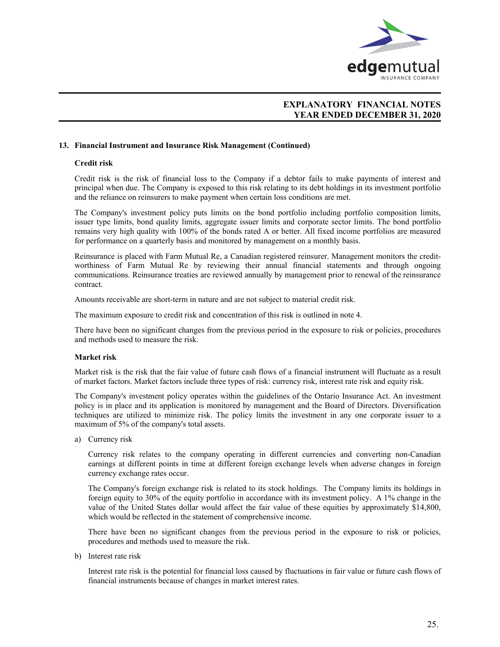

### **13. Financial Instrument and Insurance Risk Management (Continued)**

### **Credit risk**

Credit risk is the risk of financial loss to the Company if a debtor fails to make payments of interest and principal when due. The Company is exposed to this risk relating to its debt holdings in its investment portfolio and the reliance on reinsurers to make payment when certain loss conditions are met.

The Company's investment policy puts limits on the bond portfolio including portfolio composition limits, issuer type limits, bond quality limits, aggregate issuer limits and corporate sector limits. The bond portfolio remains very high quality with 100% of the bonds rated A or better. All fixed income portfolios are measured for performance on a quarterly basis and monitored by management on a monthly basis.

Reinsurance is placed with Farm Mutual Re, a Canadian registered reinsurer. Management monitors the creditworthiness of Farm Mutual Re by reviewing their annual financial statements and through ongoing communications. Reinsurance treaties are reviewed annually by management prior to renewal of the reinsurance contract.

Amounts receivable are short-term in nature and are not subject to material credit risk.

The maximum exposure to credit risk and concentration of this risk is outlined in note 4.

There have been no significant changes from the previous period in the exposure to risk or policies, procedures and methods used to measure the risk.

## **Market risk**

Market risk is the risk that the fair value of future cash flows of a financial instrument will fluctuate as a result of market factors. Market factors include three types of risk: currency risk, interest rate risk and equity risk.

The Company's investment policy operates within the guidelines of the Ontario Insurance Act. An investment policy is in place and its application is monitored by management and the Board of Directors. Diversification techniques are utilized to minimize risk. The policy limits the investment in any one corporate issuer to a maximum of 5% of the company's total assets.

a) Currency risk

Currency risk relates to the company operating in different currencies and converting non-Canadian earnings at different points in time at different foreign exchange levels when adverse changes in foreign currency exchange rates occur.

The Company's foreign exchange risk is related to its stock holdings. The Company limits its holdings in foreign equity to 30% of the equity portfolio in accordance with its investment policy. A 1% change in the value of the United States dollar would affect the fair value of these equities by approximately \$14,800, which would be reflected in the statement of comprehensive income.

There have been no significant changes from the previous period in the exposure to risk or policies, procedures and methods used to measure the risk.

b) Interest rate risk

Interest rate risk is the potential for financial loss caused by fluctuations in fair value or future cash flows of financial instruments because of changes in market interest rates.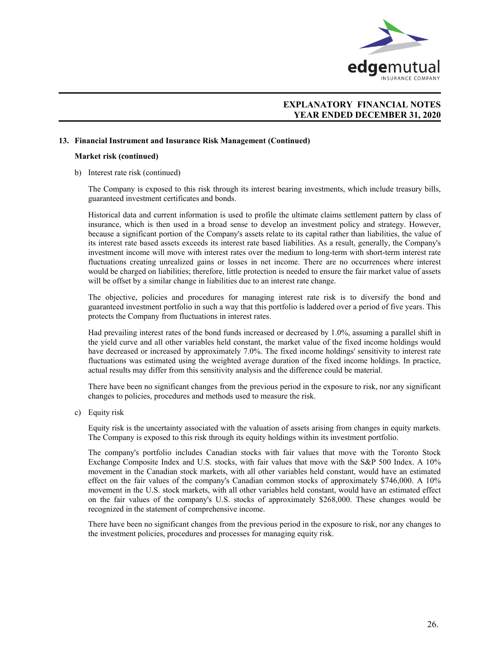

### **13. Financial Instrument and Insurance Risk Management (Continued)**

## **Market risk (continued)**

b) Interest rate risk (continued)

The Company is exposed to this risk through its interest bearing investments, which include treasury bills, guaranteed investment certificates and bonds.

Historical data and current information is used to profile the ultimate claims settlement pattern by class of insurance, which is then used in a broad sense to develop an investment policy and strategy. However, because a significant portion of the Company's assets relate to its capital rather than liabilities, the value of its interest rate based assets exceeds its interest rate based liabilities. As a result, generally, the Company's investment income will move with interest rates over the medium to long-term with short-term interest rate fluctuations creating unrealized gains or losses in net income. There are no occurrences where interest would be charged on liabilities; therefore, little protection is needed to ensure the fair market value of assets will be offset by a similar change in liabilities due to an interest rate change.

The objective, policies and procedures for managing interest rate risk is to diversify the bond and guaranteed investment portfolio in such a way that this portfolio is laddered over a period of five years. This protects the Company from fluctuations in interest rates.

Had prevailing interest rates of the bond funds increased or decreased by 1.0%, assuming a parallel shift in the yield curve and all other variables held constant, the market value of the fixed income holdings would have decreased or increased by approximately 7.0%. The fixed income holdings' sensitivity to interest rate fluctuations was estimated using the weighted average duration of the fixed income holdings. In practice, actual results may differ from this sensitivity analysis and the difference could be material.

There have been no significant changes from the previous period in the exposure to risk, nor any significant changes to policies, procedures and methods used to measure the risk.

c) Equity risk

Equity risk is the uncertainty associated with the valuation of assets arising from changes in equity markets. The Company is exposed to this risk through its equity holdings within its investment portfolio.

The company's portfolio includes Canadian stocks with fair values that move with the Toronto Stock Exchange Composite Index and U.S. stocks, with fair values that move with the S&P 500 Index. A 10% movement in the Canadian stock markets, with all other variables held constant, would have an estimated effect on the fair values of the company's Canadian common stocks of approximately \$746,000. A 10% movement in the U.S. stock markets, with all other variables held constant, would have an estimated effect on the fair values of the company's U.S. stocks of approximately \$268,000. These changes would be recognized in the statement of comprehensive income.

There have been no significant changes from the previous period in the exposure to risk, nor any changes to the investment policies, procedures and processes for managing equity risk.